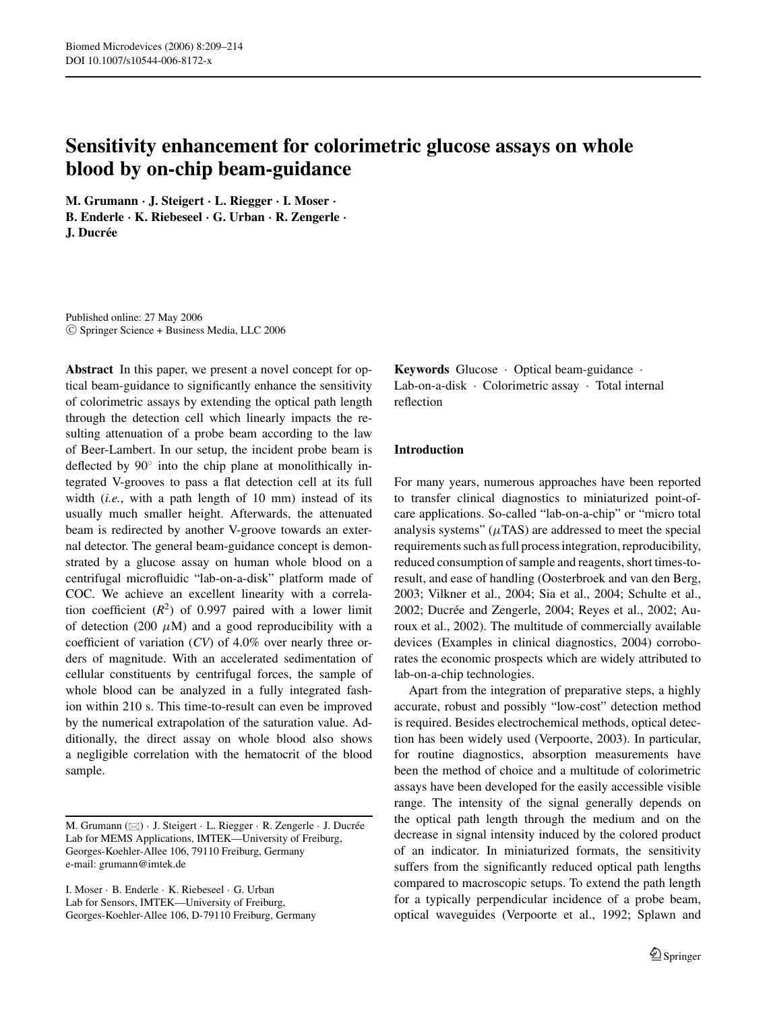# **Sensitivity enhancement for colorimetric glucose assays on whole blood by on-chip beam-guidance**

**M. Grumann** *·* **J. Steigert** *·* **L. Riegger** *·* **I. Moser** *·* **B. Enderle** *·* **K. Riebeseel** *·* **G. Urban** *·* **R. Zengerle** *·* **J. Ducrée** 

Published online: 27 May 2006  $©$  Springer Science + Business Media, LLC 2006

**Abstract** In this paper, we present a novel concept for optical beam-guidance to significantly enhance the sensitivity of colorimetric assays by extending the optical path length through the detection cell which linearly impacts the resulting attenuation of a probe beam according to the law of Beer-Lambert. In our setup, the incident probe beam is deflected by 90◦ into the chip plane at monolithically integrated V-grooves to pass a flat detection cell at its full width (*i.e.*, with a path length of 10 mm) instead of its usually much smaller height. Afterwards, the attenuated beam is redirected by another V-groove towards an external detector. The general beam-guidance concept is demonstrated by a glucose assay on human whole blood on a centrifugal microfluidic "lab-on-a-disk" platform made of COC. We achieve an excellent linearity with a correlation coefficient  $(R^2)$  of 0.997 paired with a lower limit of detection (200  $\mu$ M) and a good reproducibility with a coefficient of variation (*CV*) of 4.0% over nearly three orders of magnitude. With an accelerated sedimentation of cellular constituents by centrifugal forces, the sample of whole blood can be analyzed in a fully integrated fashion within 210 s. This time-to-result can even be improved by the numerical extrapolation of the saturation value. Additionally, the direct assay on whole blood also shows a negligible correlation with the hematocrit of the blood sample.

I. Moser · B. Enderle · K. Riebeseel · G. Urban Lab for Sensors, IMTEK—University of Freiburg, Georges-Koehler-Allee 106, D-79110 Freiburg, Germany **Keywords** Glucose . Optical beam-guidance . Lab-on-a-disk . Colorimetric assay . Total internal reflection

# **Introduction**

For many years, numerous approaches have been reported to transfer clinical diagnostics to miniaturized point-ofcare applications. So-called "lab-on-a-chip" or "micro total analysis systems"  $(\mu$ TAS) are addressed to meet the special requirements such as full process integration, reproducibility, reduced consumption of sample and reagents, short times-toresult, and ease of handling (Oosterbroek and van den Berg, 2003; Vilkner et al., 2004; Sia et al., 2004; Schulte et al., 2002; Ducrée and Zengerle, 2004; Reyes et al., 2002; Auroux et al., 2002). The multitude of commercially available devices (Examples in clinical diagnostics, 2004) corroborates the economic prospects which are widely attributed to lab-on-a-chip technologies.

Apart from the integration of preparative steps, a highly accurate, robust and possibly "low-cost" detection method is required. Besides electrochemical methods, optical detection has been widely used (Verpoorte, 2003). In particular, for routine diagnostics, absorption measurements have been the method of choice and a multitude of colorimetric assays have been developed for the easily accessible visible range. The intensity of the signal generally depends on the optical path length through the medium and on the decrease in signal intensity induced by the colored product of an indicator. In miniaturized formats, the sensitivity suffers from the significantly reduced optical path lengths compared to macroscopic setups. To extend the path length for a typically perpendicular incidence of a probe beam, optical waveguides (Verpoorte et al., 1992; Splawn and

M. Grumann ( $\boxtimes$ ) · J. Steigert · L. Riegger · R. Zengerle · J. Ducrée Lab for MEMS Applications, IMTEK—University of Freiburg, Georges-Koehler-Allee 106, 79110 Freiburg, Germany e-mail: grumann@imtek.de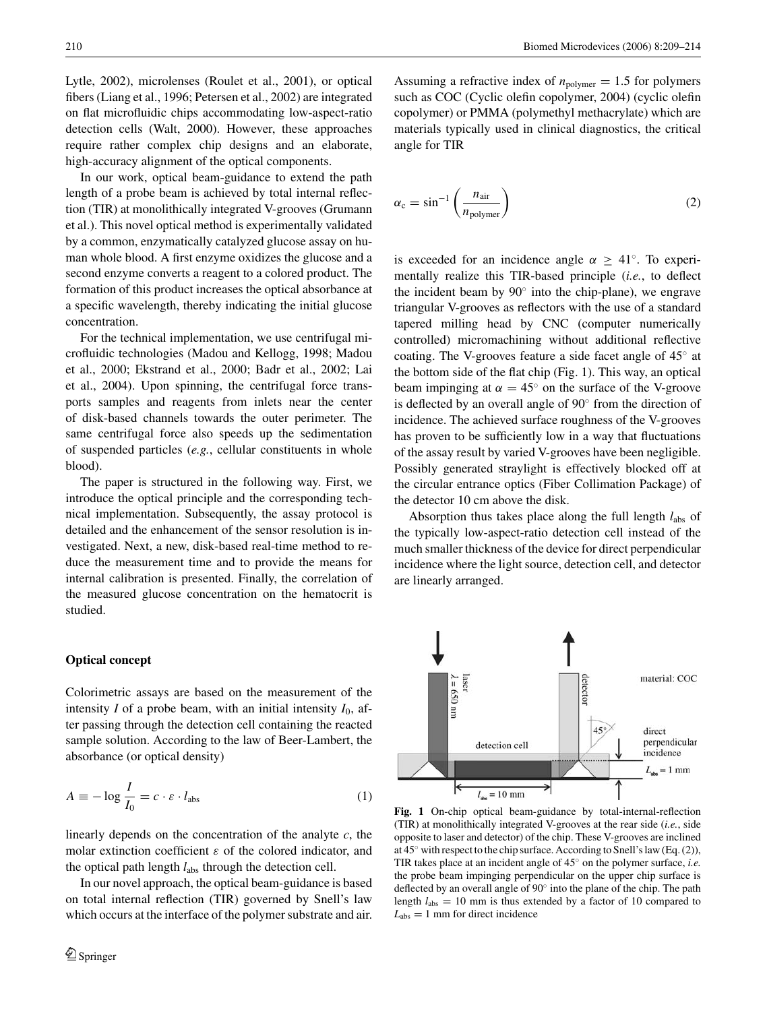Lytle, 2002), microlenses (Roulet et al., 2001), or optical fibers (Liang et al., 1996; Petersen et al., 2002) are integrated on flat microfluidic chips accommodating low-aspect-ratio detection cells (Walt, 2000). However, these approaches require rather complex chip designs and an elaborate, high-accuracy alignment of the optical components.

In our work, optical beam-guidance to extend the path length of a probe beam is achieved by total internal reflection (TIR) at monolithically integrated V-grooves (Grumann et al.). This novel optical method is experimentally validated by a common, enzymatically catalyzed glucose assay on human whole blood. A first enzyme oxidizes the glucose and a second enzyme converts a reagent to a colored product. The formation of this product increases the optical absorbance at a specific wavelength, thereby indicating the initial glucose concentration.

For the technical implementation, we use centrifugal microfluidic technologies (Madou and Kellogg, 1998; Madou et al., 2000; Ekstrand et al., 2000; Badr et al., 2002; Lai et al., 2004). Upon spinning, the centrifugal force transports samples and reagents from inlets near the center of disk-based channels towards the outer perimeter. The same centrifugal force also speeds up the sedimentation of suspended particles (*e.g.*, cellular constituents in whole blood).

The paper is structured in the following way. First, we introduce the optical principle and the corresponding technical implementation. Subsequently, the assay protocol is detailed and the enhancement of the sensor resolution is investigated. Next, a new, disk-based real-time method to reduce the measurement time and to provide the means for internal calibration is presented. Finally, the correlation of the measured glucose concentration on the hematocrit is studied.

# **Optical concept**

Colorimetric assays are based on the measurement of the intensity  $I$  of a probe beam, with an initial intensity  $I_0$ , after passing through the detection cell containing the reacted sample solution. According to the law of Beer-Lambert, the absorbance (or optical density)

$$
A \equiv -\log \frac{I}{I_0} = c \cdot \varepsilon \cdot l_{\text{abs}} \tag{1}
$$

linearly depends on the concentration of the analyte *c*, the molar extinction coefficient  $\varepsilon$  of the colored indicator, and the optical path length *l*abs through the detection cell.

In our novel approach, the optical beam-guidance is based on total internal reflection (TIR) governed by Snell's law which occurs at the interface of the polymer substrate and air.

Assuming a refractive index of  $n_{\text{polymer}} = 1.5$  for polymers such as COC (Cyclic olefin copolymer, 2004) (cyclic olefin copolymer) or PMMA (polymethyl methacrylate) which are materials typically used in clinical diagnostics, the critical angle for TIR

$$
\alpha_{\rm c} = \sin^{-1}\left(\frac{n_{\rm air}}{n_{\rm polymer}}\right) \tag{2}
$$

is exceeded for an incidence angle  $\alpha \geq 41^\circ$ . To experimentally realize this TIR-based principle (*i.e.*, to deflect the incident beam by 90◦ into the chip-plane), we engrave triangular V-grooves as reflectors with the use of a standard tapered milling head by CNC (computer numerically controlled) micromachining without additional reflective coating. The V-grooves feature a side facet angle of 45◦ at the bottom side of the flat chip (Fig. 1). This way, an optical beam impinging at  $\alpha = 45^\circ$  on the surface of the V-groove is deflected by an overall angle of 90◦ from the direction of incidence. The achieved surface roughness of the V-grooves has proven to be sufficiently low in a way that fluctuations of the assay result by varied V-grooves have been negligible. Possibly generated straylight is effectively blocked off at the circular entrance optics (Fiber Collimation Package) of the detector 10 cm above the disk.

Absorption thus takes place along the full length *l*abs of the typically low-aspect-ratio detection cell instead of the much smaller thickness of the device for direct perpendicular incidence where the light source, detection cell, and detector are linearly arranged.



**Fig. 1** On-chip optical beam-guidance by total-internal-reflection (TIR) at monolithically integrated V-grooves at the rear side (*i.e.*, side opposite to laser and detector) of the chip. These V-grooves are inclined at 45◦ with respect to the chip surface. According to Snell's law (Eq. (2)), TIR takes place at an incident angle of 45◦ on the polymer surface, *i.e.* the probe beam impinging perpendicular on the upper chip surface is deflected by an overall angle of 90◦ into the plane of the chip. The path length  $l_{\text{abs}} = 10$  mm is thus extended by a factor of 10 compared to  $L_{\text{abs}} = 1$  mm for direct incidence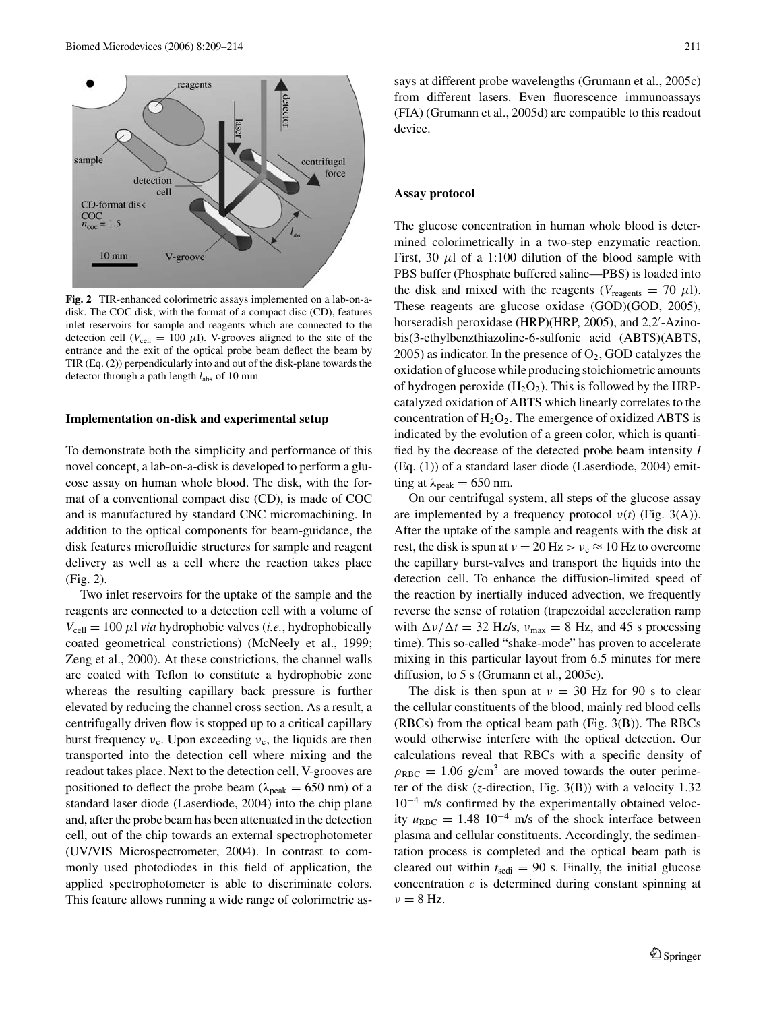

**Fig. 2** TIR-enhanced colorimetric assays implemented on a lab-on-adisk. The COC disk, with the format of a compact disc (CD), features inlet reservoirs for sample and reagents which are connected to the detection cell ( $V_{cell} = 100 \mu l$ ). V-grooves aligned to the site of the entrance and the exit of the optical probe beam deflect the beam by TIR (Eq. (2)) perpendicularly into and out of the disk-plane towards the detector through a path length *l*abs of 10 mm

#### **Implementation on-disk and experimental setup**

To demonstrate both the simplicity and performance of this novel concept, a lab-on-a-disk is developed to perform a glucose assay on human whole blood. The disk, with the format of a conventional compact disc (CD), is made of COC and is manufactured by standard CNC micromachining. In addition to the optical components for beam-guidance, the disk features microfluidic structures for sample and reagent delivery as well as a cell where the reaction takes place (Fig. 2).

Two inlet reservoirs for the uptake of the sample and the reagents are connected to a detection cell with a volume of  $V_{cell} = 100 \mu l$  *via* hydrophobic valves (*i.e.*, hydrophobically coated geometrical constrictions) (McNeely et al., 1999; Zeng et al., 2000). At these constrictions, the channel walls are coated with Teflon to constitute a hydrophobic zone whereas the resulting capillary back pressure is further elevated by reducing the channel cross section. As a result, a centrifugally driven flow is stopped up to a critical capillary burst frequency  $v_c$ . Upon exceeding  $v_c$ , the liquids are then transported into the detection cell where mixing and the readout takes place. Next to the detection cell, V-grooves are positioned to deflect the probe beam ( $\lambda_{peak} = 650$  nm) of a standard laser diode (Laserdiode, 2004) into the chip plane and, after the probe beam has been attenuated in the detection cell, out of the chip towards an external spectrophotometer (UV/VIS Microspectrometer, 2004). In contrast to commonly used photodiodes in this field of application, the applied spectrophotometer is able to discriminate colors. This feature allows running a wide range of colorimetric assays at different probe wavelengths (Grumann et al., 2005c) from different lasers. Even fluorescence immunoassays (FIA) (Grumann et al., 2005d) are compatible to this readout device.

# **Assay protocol**

The glucose concentration in human whole blood is determined colorimetrically in a two-step enzymatic reaction. First, 30  $\mu$ l of a 1:100 dilution of the blood sample with PBS buffer (Phosphate buffered saline—PBS) is loaded into the disk and mixed with the reagents ( $V_{\text{reagents}} = 70 \mu$ l). These reagents are glucose oxidase (GOD)(GOD, 2005), horseradish peroxidase (HRP)(HRP, 2005), and 2,2'-Azinobis(3-ethylbenzthiazoline-6-sulfonic acid (ABTS)(ABTS, 2005) as indicator. In the presence of  $O_2$ , GOD catalyzes the oxidation of glucose while producing stoichiometric amounts of hydrogen peroxide  $(H_2O_2)$ . This is followed by the HRPcatalyzed oxidation of ABTS which linearly correlates to the concentration of  $H_2O_2$ . The emergence of oxidized ABTS is indicated by the evolution of a green color, which is quantified by the decrease of the detected probe beam intensity *I* (Eq. (1)) of a standard laser diode (Laserdiode, 2004) emitting at  $\lambda_{peak} = 650$  nm.

On our centrifugal system, all steps of the glucose assay are implemented by a frequency protocol  $v(t)$  (Fig. 3(A)). After the uptake of the sample and reagents with the disk at rest, the disk is spun at  $v = 20$  Hz  $v_c \approx 10$  Hz to overcome the capillary burst-valves and transport the liquids into the detection cell. To enhance the diffusion-limited speed of the reaction by inertially induced advection, we frequently reverse the sense of rotation (trapezoidal acceleration ramp with  $\Delta v/\Delta t = 32$  Hz/s,  $v_{\text{max}} = 8$  Hz, and 45 s processing time). This so-called "shake-mode" has proven to accelerate mixing in this particular layout from 6.5 minutes for mere diffusion, to 5 s (Grumann et al., 2005e).

The disk is then spun at  $v = 30$  Hz for 90 s to clear the cellular constituents of the blood, mainly red blood cells (RBCs) from the optical beam path (Fig. 3(B)). The RBCs would otherwise interfere with the optical detection. Our calculations reveal that RBCs with a specific density of  $\rho_{RBC} = 1.06$  g/cm<sup>3</sup> are moved towards the outer perimeter of the disk (*z*-direction, Fig. 3(B)) with a velocity 1.32 10<sup>−</sup><sup>4</sup> m/s confirmed by the experimentally obtained velocity  $u_{RBC} = 1.48 \, 10^{-4}$  m/s of the shock interface between plasma and cellular constituents. Accordingly, the sedimentation process is completed and the optical beam path is cleared out within  $t_{\text{sedi}} = 90$  s. Finally, the initial glucose concentration *c* is determined during constant spinning at  $\nu = 8$  Hz.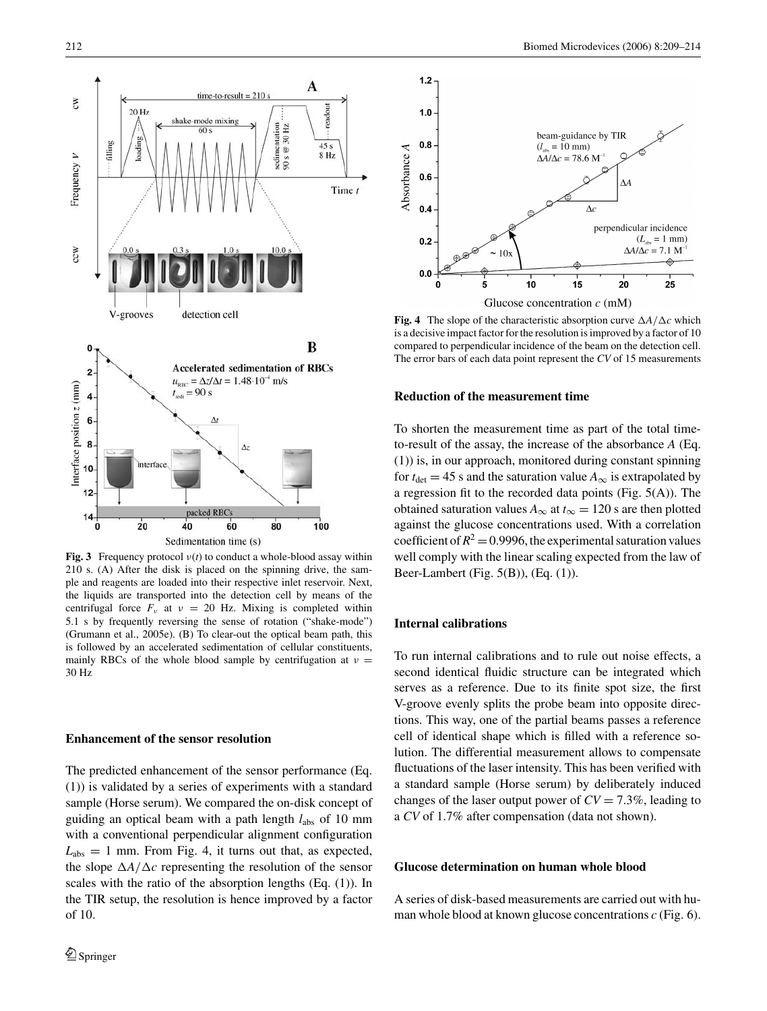

**Fig. 3** Frequency protocol  $v(t)$  to conduct a whole-blood assay within 210 s. (A) After the disk is placed on the spinning drive, the sample and reagents are loaded into their respective inlet reservoir. Next, the liquids are transported into the detection cell by means of the centrifugal force  $F_v$  at  $v = 20$  Hz. Mixing is completed within 5.1 s by frequently reversing the sense of rotation ("shake-mode") (Grumann et al., 2005e). (B) To clear-out the optical beam path, this is followed by an accelerated sedimentation of cellular constituents, mainly RBCs of the whole blood sample by centrifugation at  $v =$ 30 Hz

## **Enhancement of the sensor resolution**

The predicted enhancement of the sensor performance (Eq. (1)) is validated by a series of experiments with a standard sample (Horse serum). We compared the on-disk concept of guiding an optical beam with a path length *l*abs of 10 mm with a conventional perpendicular alignment configuration  $L_{\text{abs}} = 1$  mm. From Fig. 4, it turns out that, as expected, the slope  $\Delta A/\Delta c$  representing the resolution of the sensor scales with the ratio of the absorption lengths (Eq. (1)). In the TIR setup, the resolution is hence improved by a factor of 10.



**Fig. 4** The slope of the characteristic absorption curve  $\Delta A / \Delta c$  which is a decisive impact factor for the resolution is improved by a factor of 10 compared to perpendicular incidence of the beam on the detection cell. The error bars of each data point represent the *CV* of 15 measurements

## **Reduction of the measurement time**

To shorten the measurement time as part of the total timeto-result of the assay, the increase of the absorbance *A* (Eq. (1)) is, in our approach, monitored during constant spinning for  $t_{\text{det}} = 45$  s and the saturation value  $A_{\infty}$  is extrapolated by a regression fit to the recorded data points (Fig. 5(A)). The obtained saturation values  $A_{\infty}$  at  $t_{\infty} = 120$  s are then plotted against the glucose concentrations used. With a correlation coefficient of  $R^2 = 0.9996$ , the experimental saturation values well comply with the linear scaling expected from the law of Beer-Lambert (Fig. 5(B)), (Eq. (1)).

# **Internal calibrations**

To run internal calibrations and to rule out noise effects, a second identical fluidic structure can be integrated which serves as a reference. Due to its finite spot size, the first V-groove evenly splits the probe beam into opposite directions. This way, one of the partial beams passes a reference cell of identical shape which is filled with a reference solution. The differential measurement allows to compensate fluctuations of the laser intensity. This has been verified with a standard sample (Horse serum) by deliberately induced changes of the laser output power of  $CV = 7.3\%$ , leading to a *CV* of 1.7% after compensation (data not shown).

## **Glucose determination on human whole blood**

A series of disk-based measurements are carried out with human whole blood at known glucose concentrations *c* (Fig. 6).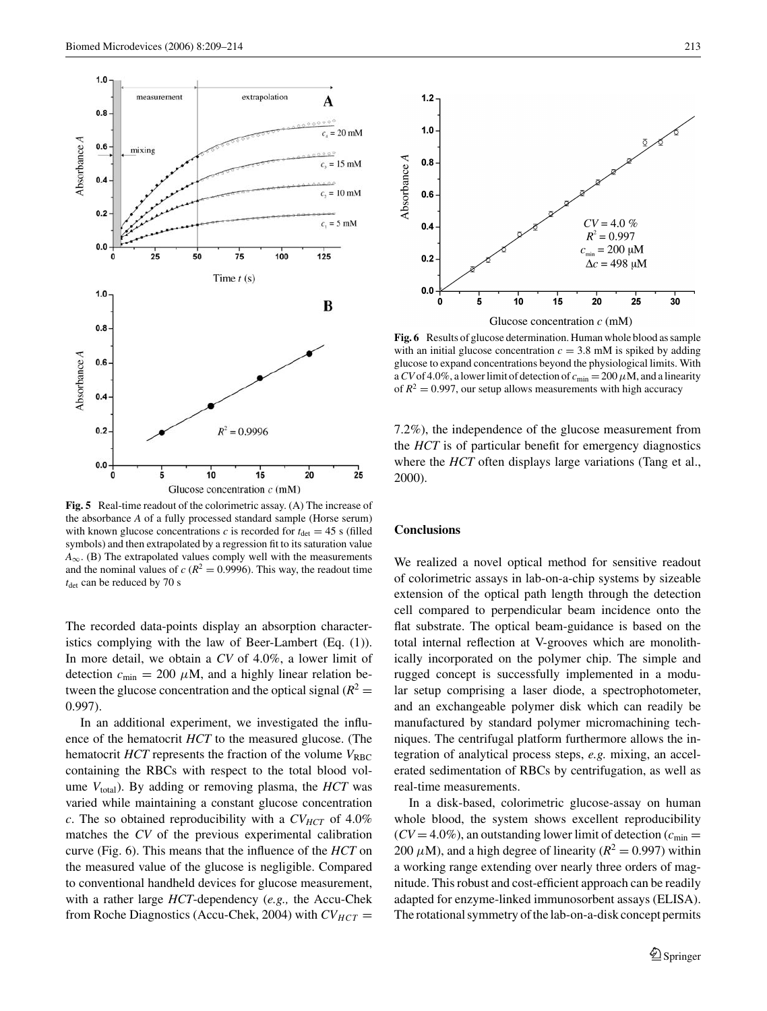

**Fig. 5** Real-time readout of the colorimetric assay. (A) The increase of the absorbance *A* of a fully processed standard sample (Horse serum) with known glucose concentrations *c* is recorded for  $t_{\text{det}} = 45$  s (filled symbols) and then extrapolated by a regression fit to its saturation value  $A_{\infty}$ . (B) The extrapolated values comply well with the measurements and the nominal values of  $c (R^2 = 0.9996)$ . This way, the readout time  $t_{\text{det}}$  can be reduced by 70 s

The recorded data-points display an absorption characteristics complying with the law of Beer-Lambert (Eq. (1)). In more detail, we obtain a *CV* of 4.0%, a lower limit of detection  $c_{\text{min}} = 200 \mu M$ , and a highly linear relation between the glucose concentration and the optical signal  $(R^2 =$ 0.997).

In an additional experiment, we investigated the influence of the hematocrit *HCT* to the measured glucose. (The hematocrit *HCT* represents the fraction of the volume  $V_{RBC}$ containing the RBCs with respect to the total blood volume  $V_{total}$ ). By adding or removing plasma, the *HCT* was varied while maintaining a constant glucose concentration *c*. The so obtained reproducibility with a  $CV_{HCT}$  of 4.0% matches the *CV* of the previous experimental calibration curve (Fig. 6). This means that the influence of the *HCT* on the measured value of the glucose is negligible. Compared to conventional handheld devices for glucose measurement, with a rather large *HCT*-dependency (*e.g.,* the Accu-Chek from Roche Diagnostics (Accu-Chek, 2004) with  $CV_{HCT}$  =



**Fig. 6** Results of glucose determination. Human whole blood as sample with an initial glucose concentration  $c = 3.8$  mM is spiked by adding glucose to expand concentrations beyond the physiological limits. With a *CV* of 4.0%, a lower limit of detection of  $c_{\text{min}} = 200 \,\mu$ M, and a linearity of  $R^2 = 0.997$ , our setup allows measurements with high accuracy

7.2%), the independence of the glucose measurement from the *HCT* is of particular benefit for emergency diagnostics where the *HCT* often displays large variations (Tang et al., 2000).

# **Conclusions**

We realized a novel optical method for sensitive readout of colorimetric assays in lab-on-a-chip systems by sizeable extension of the optical path length through the detection cell compared to perpendicular beam incidence onto the flat substrate. The optical beam-guidance is based on the total internal reflection at V-grooves which are monolithically incorporated on the polymer chip. The simple and rugged concept is successfully implemented in a modular setup comprising a laser diode, a spectrophotometer, and an exchangeable polymer disk which can readily be manufactured by standard polymer micromachining techniques. The centrifugal platform furthermore allows the integration of analytical process steps, *e.g.* mixing, an accelerated sedimentation of RBCs by centrifugation, as well as real-time measurements.

In a disk-based, colorimetric glucose-assay on human whole blood, the system shows excellent reproducibility  $(CV = 4.0\%)$ , an outstanding lower limit of detection  $(c_{min} =$ 200  $\mu$ M), and a high degree of linearity ( $R^2 = 0.997$ ) within a working range extending over nearly three orders of magnitude. This robust and cost-efficient approach can be readily adapted for enzyme-linked immunosorbent assays (ELISA). The rotational symmetry of the lab-on-a-disk concept permits